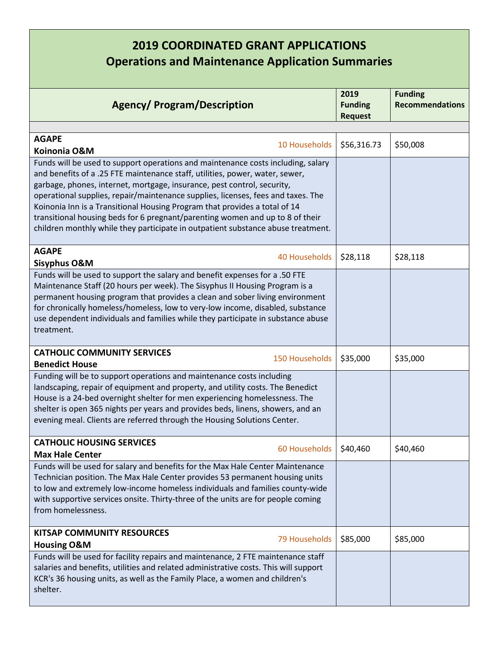## **2019 COORDINATED GRANT APPLICATIONS Operations and Maintenance Application Summaries**

| <b>Agency/ Program/Description</b>                                                                                                                                                                                                                                                                                                                                                                                                                                                                                                                                                 | 2019<br><b>Funding</b><br><b>Request</b> | <b>Funding</b><br><b>Recommendations</b> |
|------------------------------------------------------------------------------------------------------------------------------------------------------------------------------------------------------------------------------------------------------------------------------------------------------------------------------------------------------------------------------------------------------------------------------------------------------------------------------------------------------------------------------------------------------------------------------------|------------------------------------------|------------------------------------------|
|                                                                                                                                                                                                                                                                                                                                                                                                                                                                                                                                                                                    |                                          |                                          |
| <b>AGAPE</b><br>10 Households<br>Koinonia O&M                                                                                                                                                                                                                                                                                                                                                                                                                                                                                                                                      | \$56,316.73                              | \$50,008                                 |
| Funds will be used to support operations and maintenance costs including, salary<br>and benefits of a .25 FTE maintenance staff, utilities, power, water, sewer,<br>garbage, phones, internet, mortgage, insurance, pest control, security,<br>operational supplies, repair/maintenance supplies, licenses, fees and taxes. The<br>Koinonia Inn is a Transitional Housing Program that provides a total of 14<br>transitional housing beds for 6 pregnant/parenting women and up to 8 of their<br>children monthly while they participate in outpatient substance abuse treatment. |                                          |                                          |
| <b>AGAPE</b><br>40 Households<br><b>Sisyphus O&amp;M</b>                                                                                                                                                                                                                                                                                                                                                                                                                                                                                                                           | \$28,118                                 | \$28,118                                 |
| Funds will be used to support the salary and benefit expenses for a .50 FTE<br>Maintenance Staff (20 hours per week). The Sisyphus II Housing Program is a<br>permanent housing program that provides a clean and sober living environment<br>for chronically homeless/homeless, low to very-low income, disabled, substance<br>use dependent individuals and families while they participate in substance abuse<br>treatment.                                                                                                                                                     |                                          |                                          |
| <b>CATHOLIC COMMUNITY SERVICES</b><br>150 Households                                                                                                                                                                                                                                                                                                                                                                                                                                                                                                                               | \$35,000                                 | \$35,000                                 |
| <b>Benedict House</b>                                                                                                                                                                                                                                                                                                                                                                                                                                                                                                                                                              |                                          |                                          |
| Funding will be to support operations and maintenance costs including<br>landscaping, repair of equipment and property, and utility costs. The Benedict<br>House is a 24-bed overnight shelter for men experiencing homelessness. The<br>shelter is open 365 nights per years and provides beds, linens, showers, and an<br>evening meal. Clients are referred through the Housing Solutions Center.                                                                                                                                                                               |                                          |                                          |
| <b>CATHOLIC HOUSING SERVICES</b><br>60 Households<br><b>Max Hale Center</b>                                                                                                                                                                                                                                                                                                                                                                                                                                                                                                        | \$40,460                                 | \$40,460                                 |
| Funds will be used for salary and benefits for the Max Hale Center Maintenance<br>Technician position. The Max Hale Center provides 53 permanent housing units<br>to low and extremely low-income homeless individuals and families county-wide<br>with supportive services onsite. Thirty-three of the units are for people coming<br>from homelessness.                                                                                                                                                                                                                          |                                          |                                          |
| <b>KITSAP COMMUNITY RESOURCES</b><br>79 Households                                                                                                                                                                                                                                                                                                                                                                                                                                                                                                                                 | \$85,000                                 | \$85,000                                 |
| <b>Housing O&amp;M</b>                                                                                                                                                                                                                                                                                                                                                                                                                                                                                                                                                             |                                          |                                          |
| Funds will be used for facility repairs and maintenance, 2 FTE maintenance staff<br>salaries and benefits, utilities and related administrative costs. This will support<br>KCR's 36 housing units, as well as the Family Place, a women and children's<br>shelter.                                                                                                                                                                                                                                                                                                                |                                          |                                          |